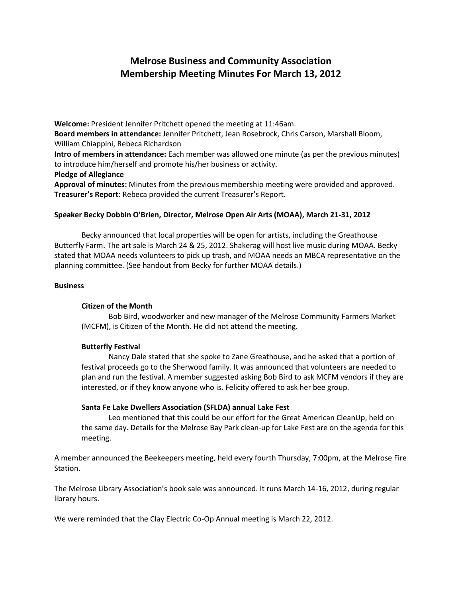# **Melrose Business and Community Association Membership Meeting Minutes For March 13, 2012**

**Welcome:** President Jennifer Pritchett opened the meeting at 11:46am. **Board members in attendance:** Jennifer Pritchett, Jean Rosebrock, Chris Carson, Marshall Bloom, William Chiappini, Rebeca Richardson **Intro of members in attendance:** Each member was allowed one minute (as per the previous minutes) to introduce him/herself and promote his/her business or activity.

# **Pledge of Allegiance**

**Approval of minutes:** Minutes from the previous membership meeting were provided and approved. **Treasurer's Report**: Rebeca provided the current Treasurer's Report.

# **Speaker Becky Dobbin O'Brien, Director, Melrose Open Air Arts (MOAA), March 21-31, 2012**

Becky announced that local properties will be open for artists, including the Greathouse Butterfly Farm. The art sale is March 24 & 25, 2012. Shakerag will host live music during MOAA. Becky stated that MOAA needs volunteers to pick up trash, and MOAA needs an MBCA representative on the planning committee. (See handout from Becky for further MOAA details.)

# **Business**

# **Citizen of the Month**

Bob Bird, woodworker and new manager of the Melrose Community Farmers Market (MCFM), is Citizen of the Month. He did not attend the meeting.

# **Butterfly Festival**

Nancy Dale stated that she spoke to Zane Greathouse, and he asked that a portion of festival proceeds go to the Sherwood family. It was announced that volunteers are needed to plan and run the festival. A member suggested asking Bob Bird to ask MCFM vendors if they are interested, or if they know anyone who is. Felicity offered to ask her bee group.

# **Santa Fe Lake Dwellers Association (SFLDA) annual Lake Fest**

Leo mentioned that this could be our effort for the Great American CleanUp, held on the same day. Details for the Melrose Bay Park clean-up for Lake Fest are on the agenda for this meeting.

A member announced the Beekeepers meeting, held every fourth Thursday, 7:00pm, at the Melrose Fire Station.

The Melrose Library Association's book sale was announced. It runs March 14-16, 2012, during regular library hours.

We were reminded that the Clay Electric Co-Op Annual meeting is March 22, 2012.